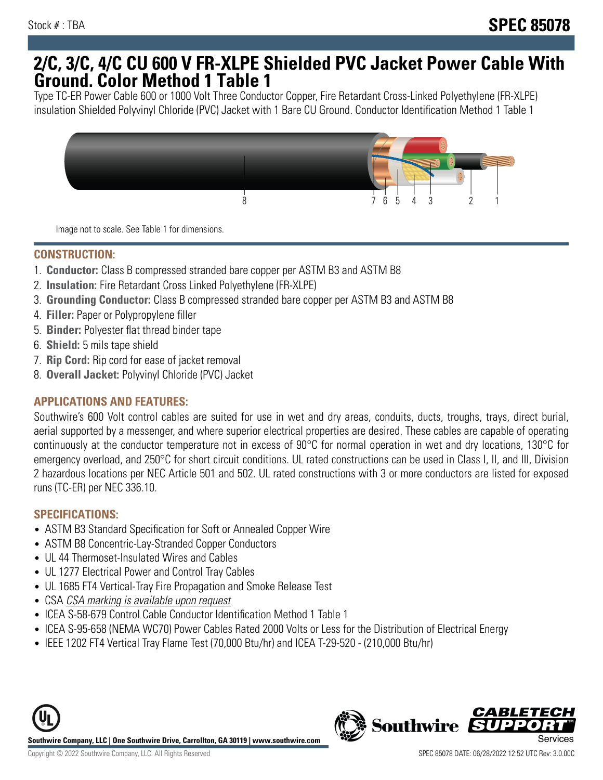## **2/C, 3/C, 4/C CU 600 V FR-XLPE Shielded PVC Jacket Power Cable With Ground. Color Method 1 Table 1**

Type TC-ER Power Cable 600 or 1000 Volt Three Conductor Copper, Fire Retardant Cross-Linked Polyethylene (FR-XLPE) insulation Shielded Polyvinyl Chloride (PVC) Jacket with 1 Bare CU Ground. Conductor Identification Method 1 Table 1



Image not to scale. See Table 1 for dimensions.

#### **CONSTRUCTION:**

- 1. **Conductor:** Class B compressed stranded bare copper per ASTM B3 and ASTM B8
- 2. **Insulation:** Fire Retardant Cross Linked Polyethylene (FR-XLPE)
- 3. **Grounding Conductor:** Class B compressed stranded bare copper per ASTM B3 and ASTM B8
- 4. **Filler:** Paper or Polypropylene filler
- 5. **Binder:** Polyester flat thread binder tape
- 6. **Shield:** 5 mils tape shield
- 7. **Rip Cord:** Rip cord for ease of jacket removal
- 8. **Overall Jacket:** Polyvinyl Chloride (PVC) Jacket

### **APPLICATIONS AND FEATURES:**

Southwire's 600 Volt control cables are suited for use in wet and dry areas, conduits, ducts, troughs, trays, direct burial, aerial supported by a messenger, and where superior electrical properties are desired. These cables are capable of operating continuously at the conductor temperature not in excess of 90°C for normal operation in wet and dry locations, 130°C for emergency overload, and 250°C for short circuit conditions. UL rated constructions can be used in Class I, II, and III, Division 2 hazardous locations per NEC Article 501 and 502. UL rated constructions with 3 or more conductors are listed for exposed runs (TC-ER) per NEC 336.10.

#### **SPECIFICATIONS:**

- ASTM B3 Standard Specification for Soft or Annealed Copper Wire
- ASTM B8 Concentric-Lay-Stranded Copper Conductors
- UL 44 Thermoset-Insulated Wires and Cables
- UL 1277 Electrical Power and Control Tray Cables
- UL 1685 FT4 Vertical-Tray Fire Propagation and Smoke Release Test
- CSA CSA marking is available upon request
- ICEA S-58-679 Control Cable Conductor Identification Method 1 Table 1
- ICEA S-95-658 (NEMA WC70) Power Cables Rated 2000 Volts or Less for the Distribution of Electrical Energy
- IEEE 1202 FT4 Vertical Tray Flame Test (70,000 Btu/hr) and ICEA T-29-520 (210,000 Btu/hr)



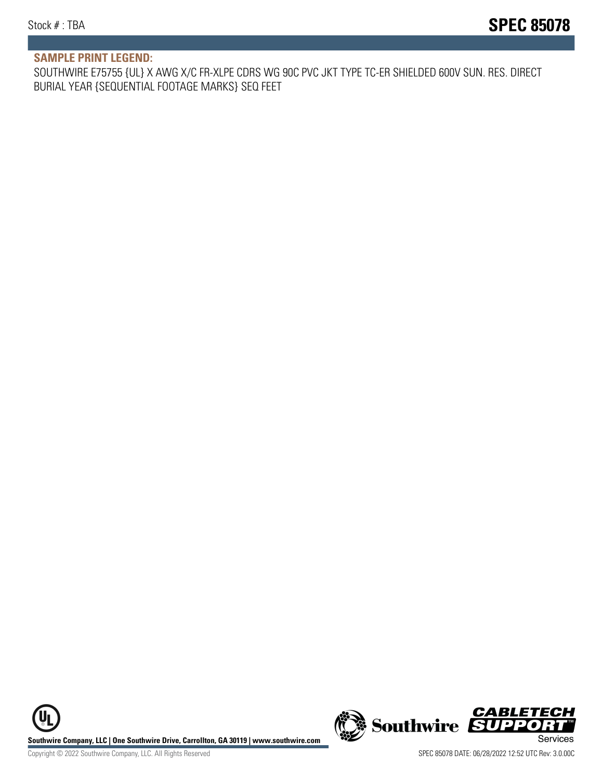#### **SAMPLE PRINT LEGEND:**

SOUTHWIRE E75755 {UL} X AWG X/C FR-XLPE CDRS WG 90C PVC JKT TYPE TC-ER SHIELDED 600V SUN. RES. DIRECT BURIAL YEAR {SEQUENTIAL FOOTAGE MARKS} SEQ FEET

**U Southwire Company, LLC | One Southwire Drive, Carrollton, GA 30119 | www.southwire.com (New Southwire SUPPORTI**